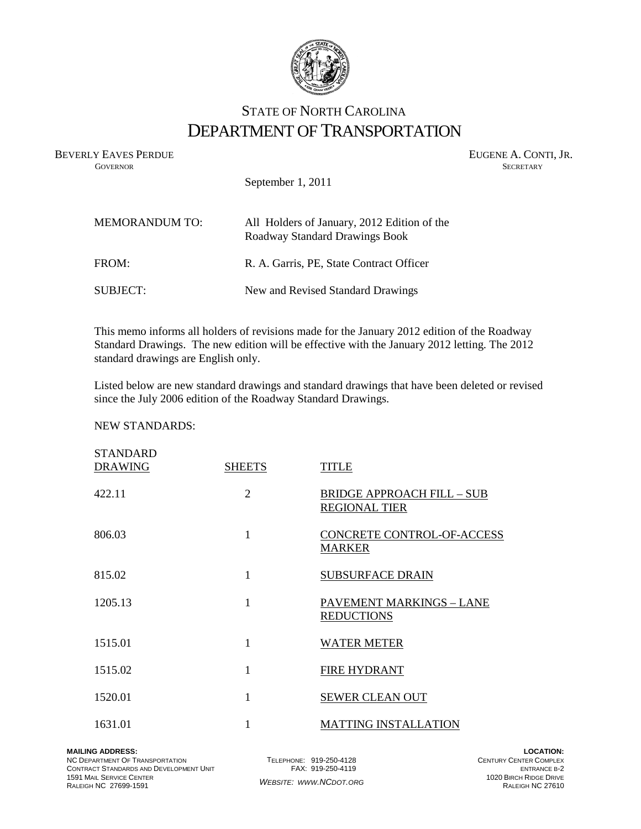

# STATE OF NORTH CAROLINA DEPARTMENT OF TRANSPORTATION

BEVERLY EAVES PERDUE GOVERNOR GOVERNOR SECRETARY SUGENE A. CONTI, JR. **GOVERNOR SECRETARY** SECRETARY

September 1, 2011

| <b>MEMORANDUM TO:</b> | All Holders of January, 2012 Edition of the<br>Roadway Standard Drawings Book |
|-----------------------|-------------------------------------------------------------------------------|
| FROM:                 | R. A. Garris, PE, State Contract Officer                                      |
| SUBJECT:              | New and Revised Standard Drawings                                             |

This memo informs all holders of revisions made for the January 2012 edition of the Roadway Standard Drawings. The new edition will be effective with the January 2012 letting. The 2012 standard drawings are English only.

Listed below are new standard drawings and standard drawings that have been deleted or revised since the July 2006 edition of the Roadway Standard Drawings.

# NEW STANDARDS:

| <b>STANDARD</b><br><b>DRAWING</b> | <b>SHEETS</b>  | <b>TITLE</b>                                              |
|-----------------------------------|----------------|-----------------------------------------------------------|
| 422.11                            | $\overline{2}$ | <b>BRIDGE APPROACH FILL - SUB</b><br><b>REGIONAL TIER</b> |
| 806.03                            | 1              | CONCRETE CONTROL-OF-ACCESS<br><b>MARKER</b>               |
| 815.02                            | 1              | <b>SUBSURFACE DRAIN</b>                                   |
| 1205.13                           | 1              | <b>PAVEMENT MARKINGS - LANE</b><br><b>REDUCTIONS</b>      |
| 1515.01                           | 1              | <b>WATER METER</b>                                        |
| 1515.02                           | 1              | <b>FIRE HYDRANT</b>                                       |
| 1520.01                           | 1              | <b>SEWER CLEAN OUT</b>                                    |
| 1631.01                           |                | <b>MATTING INSTALLATION</b>                               |

NC DEPARTMENT OF TRANSPORTATION CONTRACT STANDARDS AND DEVELOPMENT UNIT 1591 MAIL SERVICE CENTER RALEIGH NC 27699-1591

TELEPHONE: 919-250-4128 FAX: 919-250-4119 *WEBSITE: WWW.NCDOT.ORG*

**LOCATION:** CENTURY CENTER COMPLEX ENTRANCE B-2 1020 BIRCH RIDGE DRIVE RALEIGH NC 27610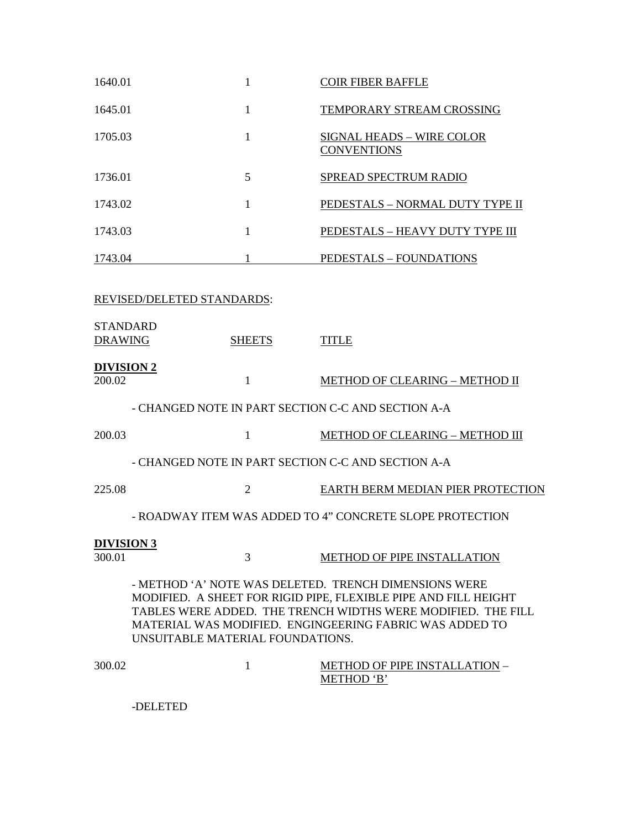| 1640.01                           | 1              | <b>COIR FIBER BAFFLE</b>                                                                                                                                                                                                                            |
|-----------------------------------|----------------|-----------------------------------------------------------------------------------------------------------------------------------------------------------------------------------------------------------------------------------------------------|
| 1645.01                           | $\mathbf{1}$   | TEMPORARY STREAM CROSSING                                                                                                                                                                                                                           |
| 1705.03                           | 1              | <b>SIGNAL HEADS - WIRE COLOR</b><br><b>CONVENTIONS</b>                                                                                                                                                                                              |
| 1736.01                           | 5              | SPREAD SPECTRUM RADIO                                                                                                                                                                                                                               |
| 1743.02                           | 1              | PEDESTALS - NORMAL DUTY TYPE II                                                                                                                                                                                                                     |
| 1743.03                           | 1              | PEDESTALS - HEAVY DUTY TYPE III                                                                                                                                                                                                                     |
| 1743.04                           | 1              | PEDESTALS - FOUNDATIONS                                                                                                                                                                                                                             |
| REVISED/DELETED STANDARDS:        |                |                                                                                                                                                                                                                                                     |
| <b>STANDARD</b><br><b>DRAWING</b> | <b>SHEETS</b>  | <b>TITLE</b>                                                                                                                                                                                                                                        |
| <b>DIVISION 2</b><br>200.02       | $\mathbf{1}$   | <b>METHOD OF CLEARING - METHOD II</b>                                                                                                                                                                                                               |
|                                   |                | - CHANGED NOTE IN PART SECTION C-C AND SECTION A-A                                                                                                                                                                                                  |
| 200.03                            | 1              | <b>METHOD OF CLEARING - METHOD III</b>                                                                                                                                                                                                              |
|                                   |                | - CHANGED NOTE IN PART SECTION C-C AND SECTION A-A                                                                                                                                                                                                  |
| 225.08                            | $\overline{2}$ | EARTH BERM MEDIAN PIER PROTECTION                                                                                                                                                                                                                   |
|                                   |                | - ROADWAY ITEM WAS ADDED TO 4" CONCRETE SLOPE PROTECTION                                                                                                                                                                                            |
| <b>DIVISION 3</b><br>300.01       | 3              | <b>METHOD OF PIPE INSTALLATION</b>                                                                                                                                                                                                                  |
| UNSUITABLE MATERIAL FOUNDATIONS.  |                | - METHOD 'A' NOTE WAS DELETED. TRENCH DIMENSIONS WERE<br>MODIFIED. A SHEET FOR RIGID PIPE, FLEXIBLE PIPE AND FILL HEIGHT<br>TABLES WERE ADDED. THE TRENCH WIDTHS WERE MODIFIED. THE FILL<br>MATERIAL WAS MODIFIED. ENGINGEERING FABRIC WAS ADDED TO |
| 300.02                            | 1              | <b>METHOD OF PIPE INSTALLATION -</b><br>METHOD 'B'                                                                                                                                                                                                  |

-DELETED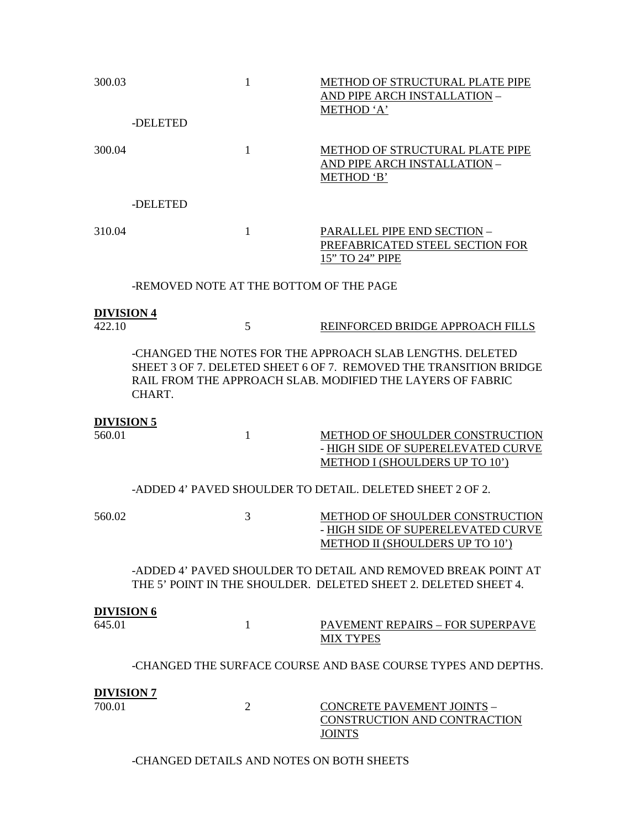| 300.03                      | -DELETED                                | $\mathbf{1}$   | METHOD OF STRUCTURAL PLATE PIPE<br><b>AND PIPE ARCH INSTALLATION -</b><br>METHOD 'A'                                                                                                         |
|-----------------------------|-----------------------------------------|----------------|----------------------------------------------------------------------------------------------------------------------------------------------------------------------------------------------|
| 300.04                      |                                         | $\mathbf{1}$   | METHOD OF STRUCTURAL PLATE PIPE<br>AND PIPE ARCH INSTALLATION -<br>METHOD 'B'                                                                                                                |
|                             | -DELETED                                |                |                                                                                                                                                                                              |
| 310.04                      |                                         | $\mathbf{1}$   | PARALLEL PIPE END SECTION -<br>PREFABRICATED STEEL SECTION FOR<br>15" TO 24" PIPE                                                                                                            |
|                             | -REMOVED NOTE AT THE BOTTOM OF THE PAGE |                |                                                                                                                                                                                              |
| <b>DIVISION 4</b>           |                                         |                |                                                                                                                                                                                              |
| 422.10                      |                                         | 5              | REINFORCED BRIDGE APPROACH FILLS                                                                                                                                                             |
|                             | CHART.                                  |                | -CHANGED THE NOTES FOR THE APPROACH SLAB LENGTHS, DELETED<br>SHEET 3 OF 7. DELETED SHEET 6 OF 7. REMOVED THE TRANSITION BRIDGE<br>RAIL FROM THE APPROACH SLAB. MODIFIED THE LAYERS OF FABRIC |
| <b>DIVISION 5</b><br>560.01 |                                         | $\mathbf{1}$   | METHOD OF SHOULDER CONSTRUCTION<br>- HIGH SIDE OF SUPERELEVATED CURVE<br>METHOD I (SHOULDERS UP TO 10')                                                                                      |
|                             |                                         |                | -ADDED 4' PAVED SHOULDER TO DETAIL. DELETED SHEET 2 OF 2.                                                                                                                                    |
| 560.02                      |                                         | 3              | METHOD OF SHOULDER CONSTRUCTION<br>- HIGH SIDE OF SUPERELEVATED CURVE<br>METHOD II (SHOULDERS UP TO 10')                                                                                     |
|                             |                                         |                | -ADDED 4' PAVED SHOULDER TO DETAIL AND REMOVED BREAK POINT AT<br>THE 5' POINT IN THE SHOULDER. DELETED SHEET 2. DELETED SHEET 4.                                                             |
| <b>DIVISION 6</b><br>645.01 |                                         | $\mathbf{1}$   | PAVEMENT REPAIRS - FOR SUPERPAVE<br><b>MIX TYPES</b>                                                                                                                                         |
|                             |                                         |                | -CHANGED THE SURFACE COURSE AND BASE COURSE TYPES AND DEPTHS.                                                                                                                                |
| <b>DIVISION 7</b><br>700.01 |                                         | $\overline{2}$ | <b>CONCRETE PAVEMENT JOINTS -</b>                                                                                                                                                            |
|                             |                                         |                | CONSTRUCTION AND CONTRACTION<br><b>JOINTS</b>                                                                                                                                                |

-CHANGED DETAILS AND NOTES ON BOTH SHEETS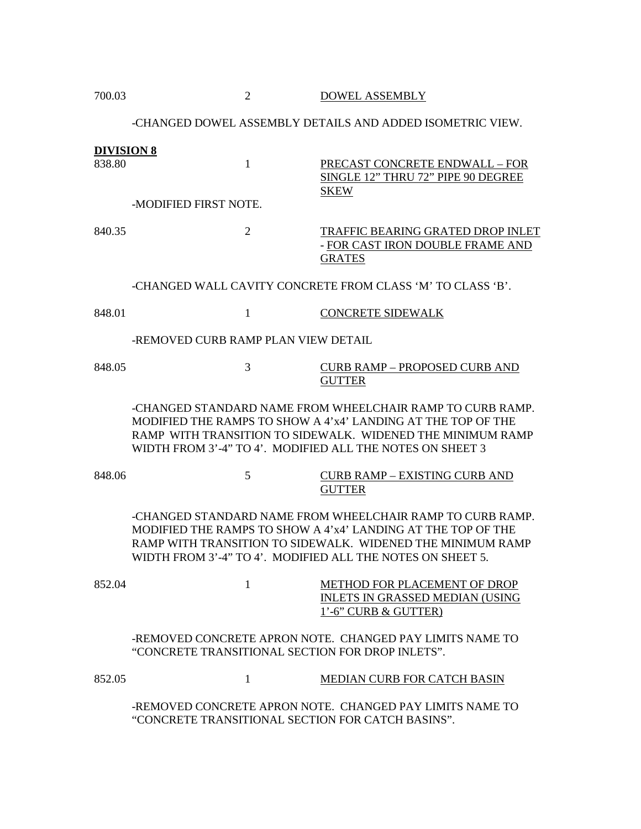| 700.03 |  | <b>DOWEL ASSEMBLY</b> |
|--------|--|-----------------------|
|--------|--|-----------------------|

# -CHANGED DOWEL ASSEMBLY DETAILS AND ADDED ISOMETRIC VIEW.

| <b>DIVISION 8</b> |                                                            |                                                                                                                                                                                         |
|-------------------|------------------------------------------------------------|-----------------------------------------------------------------------------------------------------------------------------------------------------------------------------------------|
| 838.80            | $\mathbf{1}$                                               | PRECAST CONCRETE ENDWALL - FOR<br>SINGLE 12" THRU 72" PIPE 90 DEGREE<br><b>SKEW</b>                                                                                                     |
|                   | -MODIFIED FIRST NOTE.                                      |                                                                                                                                                                                         |
| 840.35            | $\overline{2}$                                             | TRAFFIC BEARING GRATED DROP INLET<br>- FOR CAST IRON DOUBLE FRAME AND<br><b>GRATES</b>                                                                                                  |
|                   |                                                            | -CHANGED WALL CAVITY CONCRETE FROM CLASS 'M' TO CLASS 'B'.                                                                                                                              |
| 848.01            | 1                                                          | <b>CONCRETE SIDEWALK</b>                                                                                                                                                                |
|                   | -REMOVED CURB RAMP PLAN VIEW DETAIL                        |                                                                                                                                                                                         |
| 848.05            | 3                                                          | <b>CURB RAMP - PROPOSED CURB AND</b><br><b>GUTTER</b>                                                                                                                                   |
|                   | WIDTH FROM 3'-4" TO 4'. MODIFIED ALL THE NOTES ON SHEET 3  | -CHANGED STANDARD NAME FROM WHEELCHAIR RAMP TO CURB RAMP.<br>MODIFIED THE RAMPS TO SHOW A 4'x4' LANDING AT THE TOP OF THE<br>RAMP WITH TRANSITION TO SIDEWALK. WIDENED THE MINIMUM RAMP |
| 848.06            | 5                                                          | CURB RAMP – EXISTING CURB AND<br><b>GUTTER</b>                                                                                                                                          |
|                   | WIDTH FROM 3'-4" TO 4'. MODIFIED ALL THE NOTES ON SHEET 5. | -CHANGED STANDARD NAME FROM WHEELCHAIR RAMP TO CURB RAMP.<br>MODIFIED THE RAMPS TO SHOW A 4'x4' LANDING AT THE TOP OF THE<br>RAMP WITH TRANSITION TO SIDEWALK. WIDENED THE MINIMUM RAMP |
| 852.04            | $\mathbf{1}$                                               | <b>METHOD FOR PLACEMENT OF DROP</b><br><b>INLETS IN GRASSED MEDIAN (USING</b><br>1'-6" CURB & GUTTER)                                                                                   |
|                   | "CONCRETE TRANSITIONAL SECTION FOR DROP INLETS".           | -REMOVED CONCRETE APRON NOTE. CHANGED PAY LIMITS NAME TO                                                                                                                                |
| 852.05            | $\mathbf{1}$                                               | <b>MEDIAN CURB FOR CATCH BASIN</b>                                                                                                                                                      |
|                   |                                                            | -REMOVED CONCRETE APRON NOTE. CHANGED PAY LIMITS NAME TO                                                                                                                                |

"CONCRETE TRANSITIONAL SECTION FOR CATCH BASINS".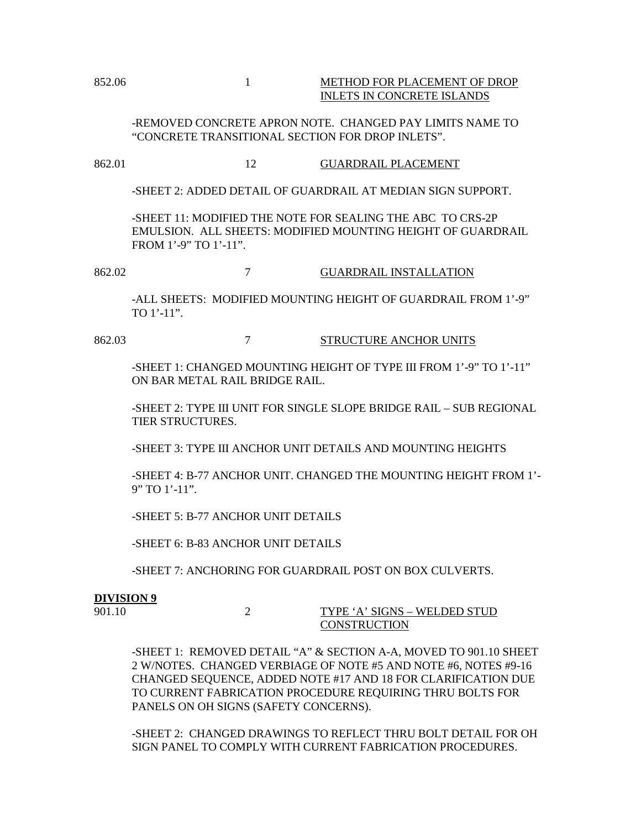### 852.06 1 METHOD FOR PLACEMENT OF DROP INLETS IN CONCRETE ISLANDS

-REMOVED CONCRETE APRON NOTE. CHANGED PAY LIMITS NAME TO "CONCRETE TRANSITIONAL SECTION FOR DROP INLETS".

# 862.01 12 GUARDRAIL PLACEMENT

-SHEET 2: ADDED DETAIL OF GUARDRAIL AT MEDIAN SIGN SUPPORT.

-SHEET 11: MODIFIED THE NOTE FOR SEALING THE ABC TO CRS-2P EMULSION. ALL SHEETS: MODIFIED MOUNTING HEIGHT OF GUARDRAIL FROM 1'-9" TO 1'-11".

862.02 7 GUARDRAIL INSTALLATION

-ALL SHEETS: MODIFIED MOUNTING HEIGHT OF GUARDRAIL FROM 1'-9" TO 1'-11".

862.03 7 STRUCTURE ANCHOR UNITS

-SHEET 1: CHANGED MOUNTING HEIGHT OF TYPE III FROM 1'-9" TO 1'-11" ON BAR METAL RAIL BRIDGE RAIL.

-SHEET 2: TYPE III UNIT FOR SINGLE SLOPE BRIDGE RAIL – SUB REGIONAL TIER STRUCTURES.

-SHEET 3: TYPE III ANCHOR UNIT DETAILS AND MOUNTING HEIGHTS

-SHEET 4: B-77 ANCHOR UNIT. CHANGED THE MOUNTING HEIGHT FROM 1'- 9" TO 1'-11".

-SHEET 5: B-77 ANCHOR UNIT DETAILS

-SHEET 6: B-83 ANCHOR UNIT DETAILS

-SHEET 7: ANCHORING FOR GUARDRAIL POST ON BOX CULVERTS.

#### **DIVISION 9**

901.10 2 TYPE 'A' SIGNS – WELDED STUD **CONSTRUCTION** 

-SHEET 1: REMOVED DETAIL "A" & SECTION A-A, MOVED TO 901.10 SHEET 2 W/NOTES. CHANGED VERBIAGE OF NOTE #5 AND NOTE #6, NOTES #9-16 CHANGED SEQUENCE, ADDED NOTE #17 AND 18 FOR CLARIFICATION DUE TO CURRENT FABRICATION PROCEDURE REQUIRING THRU BOLTS FOR PANELS ON OH SIGNS (SAFETY CONCERNS).

-SHEET 2: CHANGED DRAWINGS TO REFLECT THRU BOLT DETAIL FOR OH SIGN PANEL TO COMPLY WITH CURRENT FABRICATION PROCEDURES.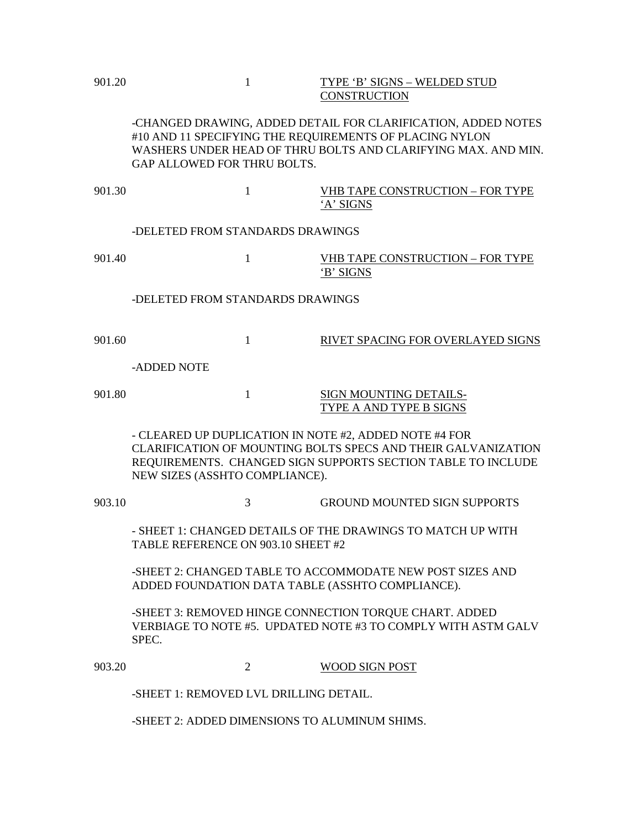# 901.20 1 TYPE 'B' SIGNS – WELDED STUD CONSTRUCTION

-CHANGED DRAWING, ADDED DETAIL FOR CLARIFICATION, ADDED NOTES #10 AND 11 SPECIFYING THE REQUIREMENTS OF PLACING NYLON WASHERS UNDER HEAD OF THRU BOLTS AND CLARIFYING MAX. AND MIN. GAP ALLOWED FOR THRU BOLTS.

901.30 1 1 VHB TAPE CONSTRUCTION – FOR TYPE 'A' SIGNS

### -DELETED FROM STANDARDS DRAWINGS

901.40 1 VHB TAPE CONSTRUCTION – FOR TYPE 'B' SIGNS

# -DELETED FROM STANDARDS DRAWINGS

901.60 1 1 RIVET SPACING FOR OVERLAYED SIGNS

-ADDED NOTE

901.80 1 SIGN MOUNTING DETAILS-TYPE A AND TYPE B SIGNS

- CLEARED UP DUPLICATION IN NOTE #2, ADDED NOTE #4 FOR CLARIFICATION OF MOUNTING BOLTS SPECS AND THEIR GALVANIZATION REQUIREMENTS. CHANGED SIGN SUPPORTS SECTION TABLE TO INCLUDE NEW SIZES (ASSHTO COMPLIANCE).

903.10 3 GROUND MOUNTED SIGN SUPPORTS

- SHEET 1: CHANGED DETAILS OF THE DRAWINGS TO MATCH UP WITH TABLE REFERENCE ON 903.10 SHEET #2

-SHEET 2: CHANGED TABLE TO ACCOMMODATE NEW POST SIZES AND ADDED FOUNDATION DATA TABLE (ASSHTO COMPLIANCE).

-SHEET 3: REMOVED HINGE CONNECTION TORQUE CHART. ADDED VERBIAGE TO NOTE #5. UPDATED NOTE #3 TO COMPLY WITH ASTM GALV SPEC.

903.20 2 WOOD SIGN POST

-SHEET 1: REMOVED LVL DRILLING DETAIL.

-SHEET 2: ADDED DIMENSIONS TO ALUMINUM SHIMS.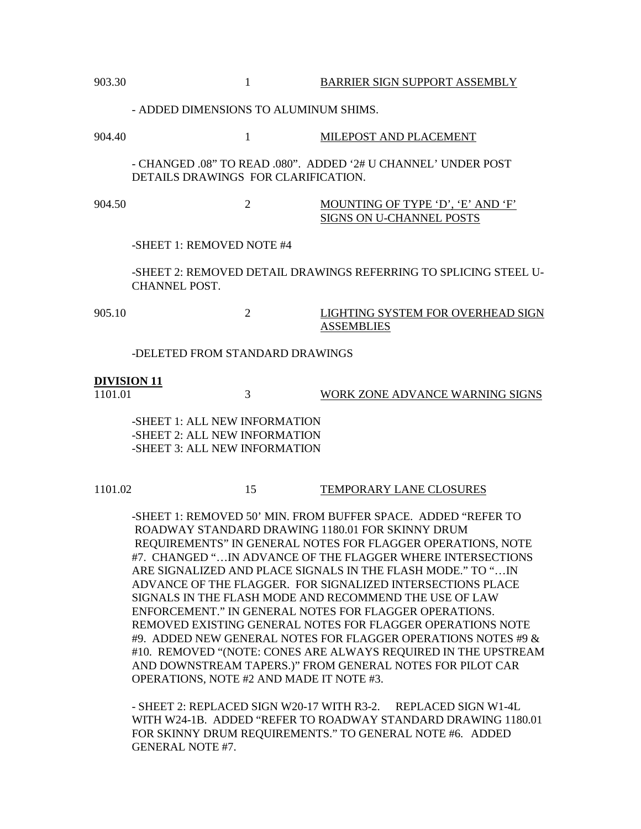| 903.30                        |                                                                                                 | $\mathbf{1}$   | <b>BARRIER SIGN SUPPORT ASSEMBLY</b>                             |
|-------------------------------|-------------------------------------------------------------------------------------------------|----------------|------------------------------------------------------------------|
|                               | - ADDED DIMENSIONS TO ALUMINUM SHIMS.                                                           |                |                                                                  |
| 904.40                        |                                                                                                 | 1              | MILEPOST AND PLACEMENT                                           |
|                               | DETAILS DRAWINGS FOR CLARIFICATION.                                                             |                | - CHANGED .08" TO READ .080". ADDED '2# U CHANNEL' UNDER POST    |
| 904.50                        |                                                                                                 | $\overline{2}$ | MOUNTING OF TYPE 'D', 'E' AND 'F'<br>SIGNS ON U-CHANNEL POSTS    |
|                               | -SHEET 1: REMOVED NOTE #4                                                                       |                |                                                                  |
|                               | CHANNEL POST.                                                                                   |                | -SHEET 2: REMOVED DETAIL DRAWINGS REFERRING TO SPLICING STEEL U- |
| 905.10                        |                                                                                                 | $\overline{2}$ | LIGHTING SYSTEM FOR OVERHEAD SIGN<br><b>ASSEMBLIES</b>           |
|                               | -DELETED FROM STANDARD DRAWINGS                                                                 |                |                                                                  |
| <b>DIVISION 11</b><br>1101.01 |                                                                                                 | 3              | WORK ZONE ADVANCE WARNING SIGNS                                  |
|                               | -SHEET 1: ALL NEW INFORMATION<br>-SHEET 2: ALL NEW INFORMATION<br>-SHEET 3: ALL NEW INFORMATION |                |                                                                  |

#### 1101.02 15 TEMPORARY LANE CLOSURES

-SHEET 1: REMOVED 50' MIN. FROM BUFFER SPACE. ADDED "REFER TO ROADWAY STANDARD DRAWING 1180.01 FOR SKINNY DRUM REQUIREMENTS" IN GENERAL NOTES FOR FLAGGER OPERATIONS, NOTE #7. CHANGED "…IN ADVANCE OF THE FLAGGER WHERE INTERSECTIONS ARE SIGNALIZED AND PLACE SIGNALS IN THE FLASH MODE." TO "…IN ADVANCE OF THE FLAGGER. FOR SIGNALIZED INTERSECTIONS PLACE SIGNALS IN THE FLASH MODE AND RECOMMEND THE USE OF LAW ENFORCEMENT." IN GENERAL NOTES FOR FLAGGER OPERATIONS. REMOVED EXISTING GENERAL NOTES FOR FLAGGER OPERATIONS NOTE #9. ADDED NEW GENERAL NOTES FOR FLAGGER OPERATIONS NOTES #9 & #10. REMOVED "(NOTE: CONES ARE ALWAYS REQUIRED IN THE UPSTREAM AND DOWNSTREAM TAPERS.)" FROM GENERAL NOTES FOR PILOT CAR OPERATIONS, NOTE #2 AND MADE IT NOTE #3.

- SHEET 2: REPLACED SIGN W20-17 WITH R3-2. REPLACED SIGN W1-4L WITH W24-1B. ADDED "REFER TO ROADWAY STANDARD DRAWING 1180.01 FOR SKINNY DRUM REQUIREMENTS." TO GENERAL NOTE #6. ADDED GENERAL NOTE #7.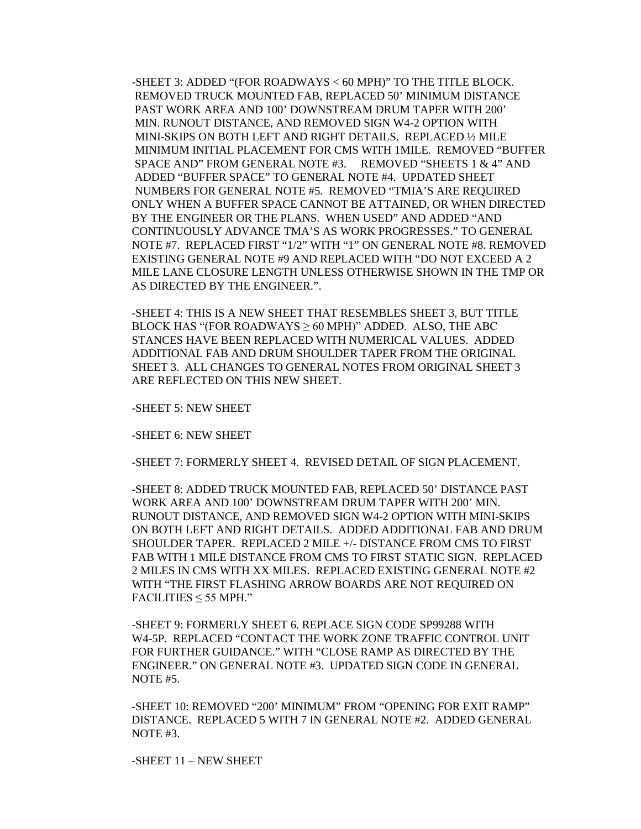-SHEET 3: ADDED "(FOR ROADWAYS < 60 MPH)" TO THE TITLE BLOCK. REMOVED TRUCK MOUNTED FAB, REPLACED 50' MINIMUM DISTANCE PAST WORK AREA AND 100' DOWNSTREAM DRUM TAPER WITH 200' MIN. RUNOUT DISTANCE, AND REMOVED SIGN W4-2 OPTION WITH MINI-SKIPS ON BOTH LEFT AND RIGHT DETAILS. REPLACED ½ MILE MINIMUM INITIAL PLACEMENT FOR CMS WITH 1MILE. REMOVED "BUFFER SPACE AND" FROM GENERAL NOTE #3. REMOVED "SHEETS 1 & 4" AND ADDED "BUFFER SPACE" TO GENERAL NOTE #4. UPDATED SHEET NUMBERS FOR GENERAL NOTE #5. REMOVED "TMIA'S ARE REQUIRED ONLY WHEN A BUFFER SPACE CANNOT BE ATTAINED, OR WHEN DIRECTED BY THE ENGINEER OR THE PLANS. WHEN USED" AND ADDED "AND CONTINUOUSLY ADVANCE TMA'S AS WORK PROGRESSES." TO GENERAL NOTE #7. REPLACED FIRST "1/2" WITH "1" ON GENERAL NOTE #8. REMOVED EXISTING GENERAL NOTE #9 AND REPLACED WITH "DO NOT EXCEED A 2 MILE LANE CLOSURE LENGTH UNLESS OTHERWISE SHOWN IN THE TMP OR AS DIRECTED BY THE ENGINEER.".

-SHEET 4: THIS IS A NEW SHEET THAT RESEMBLES SHEET 3, BUT TITLE BLOCK HAS "(FOR ROADWAYS  $\geq 60$  MPH)" ADDED. ALSO, THE ABC STANCES HAVE BEEN REPLACED WITH NUMERICAL VALUES. ADDED ADDITIONAL FAB AND DRUM SHOULDER TAPER FROM THE ORIGINAL SHEET 3. ALL CHANGES TO GENERAL NOTES FROM ORIGINAL SHEET 3 ARE REFLECTED ON THIS NEW SHEET.

-SHEET 5: NEW SHEET

-SHEET 6: NEW SHEET

-SHEET 7: FORMERLY SHEET 4. REVISED DETAIL OF SIGN PLACEMENT.

-SHEET 8: ADDED TRUCK MOUNTED FAB, REPLACED 50' DISTANCE PAST WORK AREA AND 100' DOWNSTREAM DRUM TAPER WITH 200' MIN. RUNOUT DISTANCE, AND REMOVED SIGN W4-2 OPTION WITH MINI-SKIPS ON BOTH LEFT AND RIGHT DETAILS. ADDED ADDITIONAL FAB AND DRUM SHOULDER TAPER. REPLACED 2 MILE +/- DISTANCE FROM CMS TO FIRST FAB WITH 1 MILE DISTANCE FROM CMS TO FIRST STATIC SIGN. REPLACED 2 MILES IN CMS WITH XX MILES. REPLACED EXISTING GENERAL NOTE #2 WITH "THE FIRST FLASHING ARROW BOARDS ARE NOT REQUIRED ON  $FACILITIES < 55 MPH."$ 

-SHEET 9: FORMERLY SHEET 6. REPLACE SIGN CODE SP99288 WITH W4-5P. REPLACED "CONTACT THE WORK ZONE TRAFFIC CONTROL UNIT FOR FURTHER GUIDANCE." WITH "CLOSE RAMP AS DIRECTED BY THE ENGINEER." ON GENERAL NOTE #3. UPDATED SIGN CODE IN GENERAL NOTE #5.

-SHEET 10: REMOVED "200' MINIMUM" FROM "OPENING FOR EXIT RAMP" DISTANCE. REPLACED 5 WITH 7 IN GENERAL NOTE #2. ADDED GENERAL NOTE #3.

-SHEET 11 – NEW SHEET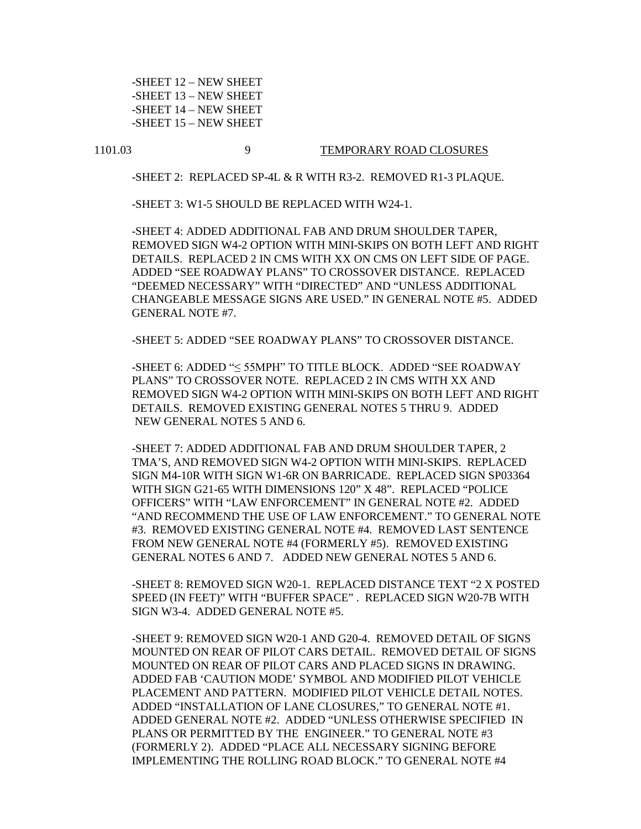-SHEET 12 – NEW SHEET -SHEET 13 – NEW SHEET -SHEET 14 – NEW SHEET -SHEET 15 – NEW SHEET

#### 1101.03 9 TEMPORARY ROAD CLOSURES

-SHEET 2: REPLACED SP-4L & R WITH R3-2. REMOVED R1-3 PLAQUE.

-SHEET 3: W1-5 SHOULD BE REPLACED WITH W24-1.

-SHEET 4: ADDED ADDITIONAL FAB AND DRUM SHOULDER TAPER, REMOVED SIGN W4-2 OPTION WITH MINI-SKIPS ON BOTH LEFT AND RIGHT DETAILS. REPLACED 2 IN CMS WITH XX ON CMS ON LEFT SIDE OF PAGE. ADDED "SEE ROADWAY PLANS" TO CROSSOVER DISTANCE. REPLACED "DEEMED NECESSARY" WITH "DIRECTED" AND "UNLESS ADDITIONAL CHANGEABLE MESSAGE SIGNS ARE USED." IN GENERAL NOTE #5. ADDED GENERAL NOTE #7.

-SHEET 5: ADDED "SEE ROADWAY PLANS" TO CROSSOVER DISTANCE.

-SHEET 6: ADDED "≤ 55MPH" TO TITLE BLOCK. ADDED "SEE ROADWAY PLANS" TO CROSSOVER NOTE. REPLACED 2 IN CMS WITH XX AND REMOVED SIGN W4-2 OPTION WITH MINI-SKIPS ON BOTH LEFT AND RIGHT DETAILS. REMOVED EXISTING GENERAL NOTES 5 THRU 9. ADDED NEW GENERAL NOTES 5 AND 6.

-SHEET 7: ADDED ADDITIONAL FAB AND DRUM SHOULDER TAPER, 2 TMA'S, AND REMOVED SIGN W4-2 OPTION WITH MINI-SKIPS. REPLACED SIGN M4-10R WITH SIGN W1-6R ON BARRICADE. REPLACED SIGN SP03364 WITH SIGN G21-65 WITH DIMENSIONS 120" X 48". REPLACED "POLICE OFFICERS" WITH "LAW ENFORCEMENT" IN GENERAL NOTE #2. ADDED "AND RECOMMEND THE USE OF LAW ENFORCEMENT." TO GENERAL NOTE #3. REMOVED EXISTING GENERAL NOTE #4. REMOVED LAST SENTENCE FROM NEW GENERAL NOTE #4 (FORMERLY #5). REMOVED EXISTING GENERAL NOTES 6 AND 7. ADDED NEW GENERAL NOTES 5 AND 6.

-SHEET 8: REMOVED SIGN W20-1. REPLACED DISTANCE TEXT "2 X POSTED SPEED (IN FEET)" WITH "BUFFER SPACE" . REPLACED SIGN W20-7B WITH SIGN W3-4. ADDED GENERAL NOTE #5.

-SHEET 9: REMOVED SIGN W20-1 AND G20-4. REMOVED DETAIL OF SIGNS MOUNTED ON REAR OF PILOT CARS DETAIL. REMOVED DETAIL OF SIGNS MOUNTED ON REAR OF PILOT CARS AND PLACED SIGNS IN DRAWING. ADDED FAB 'CAUTION MODE' SYMBOL AND MODIFIED PILOT VEHICLE PLACEMENT AND PATTERN. MODIFIED PILOT VEHICLE DETAIL NOTES. ADDED "INSTALLATION OF LANE CLOSURES," TO GENERAL NOTE #1. ADDED GENERAL NOTE #2. ADDED "UNLESS OTHERWISE SPECIFIED IN PLANS OR PERMITTED BY THE ENGINEER." TO GENERAL NOTE #3 (FORMERLY 2). ADDED "PLACE ALL NECESSARY SIGNING BEFORE IMPLEMENTING THE ROLLING ROAD BLOCK." TO GENERAL NOTE #4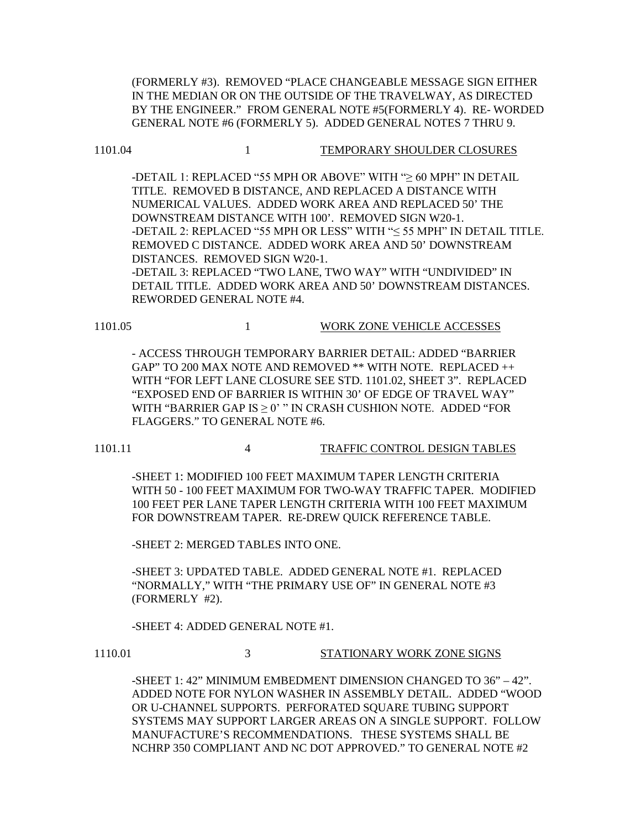(FORMERLY #3). REMOVED "PLACE CHANGEABLE MESSAGE SIGN EITHER IN THE MEDIAN OR ON THE OUTSIDE OF THE TRAVELWAY, AS DIRECTED BY THE ENGINEER." FROM GENERAL NOTE #5(FORMERLY 4). RE- WORDED GENERAL NOTE #6 (FORMERLY 5). ADDED GENERAL NOTES 7 THRU 9.

-DETAIL 1: REPLACED "55 MPH OR ABOVE" WITH "≥ 60 MPH" IN DETAIL TITLE. REMOVED B DISTANCE, AND REPLACED A DISTANCE WITH NUMERICAL VALUES. ADDED WORK AREA AND REPLACED 50' THE DOWNSTREAM DISTANCE WITH 100'. REMOVED SIGN W20-1. -DETAIL 2: REPLACED "55 MPH OR LESS" WITH "≤ 55 MPH" IN DETAIL TITLE. REMOVED C DISTANCE. ADDED WORK AREA AND 50' DOWNSTREAM DISTANCES. REMOVED SIGN W20-1. -DETAIL 3: REPLACED "TWO LANE, TWO WAY" WITH "UNDIVIDED" IN

DETAIL TITLE. ADDED WORK AREA AND 50' DOWNSTREAM DISTANCES. REWORDED GENERAL NOTE #4.

1101.05 1 WORK ZONE VEHICLE ACCESSES

- ACCESS THROUGH TEMPORARY BARRIER DETAIL: ADDED "BARRIER GAP" TO 200 MAX NOTE AND REMOVED \*\* WITH NOTE. REPLACED ++ WITH "FOR LEFT LANE CLOSURE SEE STD. 1101.02, SHEET 3". REPLACED "EXPOSED END OF BARRIER IS WITHIN 30' OF EDGE OF TRAVEL WAY" WITH "BARRIER GAP IS  $> 0$ " IN CRASH CUSHION NOTE. ADDED "FOR FLAGGERS." TO GENERAL NOTE #6.

1101.11 4 TRAFFIC CONTROL DESIGN TABLES

-SHEET 1: MODIFIED 100 FEET MAXIMUM TAPER LENGTH CRITERIA WITH 50 - 100 FEET MAXIMUM FOR TWO-WAY TRAFFIC TAPER. MODIFIED 100 FEET PER LANE TAPER LENGTH CRITERIA WITH 100 FEET MAXIMUM FOR DOWNSTREAM TAPER. RE-DREW QUICK REFERENCE TABLE.

-SHEET 2: MERGED TABLES INTO ONE.

-SHEET 3: UPDATED TABLE. ADDED GENERAL NOTE #1. REPLACED "NORMALLY," WITH "THE PRIMARY USE OF" IN GENERAL NOTE #3 (FORMERLY #2).

-SHEET 4: ADDED GENERAL NOTE #1.

1110.01 3 STATIONARY WORK ZONE SIGNS

-SHEET 1: 42" MINIMUM EMBEDMENT DIMENSION CHANGED TO 36" – 42". ADDED NOTE FOR NYLON WASHER IN ASSEMBLY DETAIL. ADDED "WOOD OR U-CHANNEL SUPPORTS. PERFORATED SQUARE TUBING SUPPORT SYSTEMS MAY SUPPORT LARGER AREAS ON A SINGLE SUPPORT. FOLLOW MANUFACTURE'S RECOMMENDATIONS. THESE SYSTEMS SHALL BE NCHRP 350 COMPLIANT AND NC DOT APPROVED." TO GENERAL NOTE #2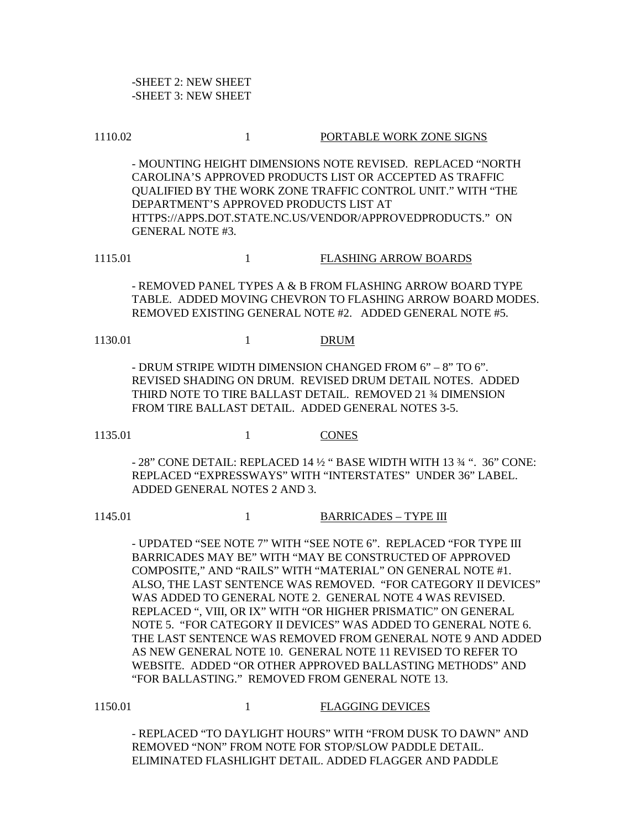-SHEET 2: NEW SHEET -SHEET 3: NEW SHEET

#### 1110.02 1 PORTABLE WORK ZONE SIGNS

- MOUNTING HEIGHT DIMENSIONS NOTE REVISED. REPLACED "NORTH CAROLINA'S APPROVED PRODUCTS LIST OR ACCEPTED AS TRAFFIC QUALIFIED BY THE WORK ZONE TRAFFIC CONTROL UNIT." WITH "THE DEPARTMENT'S APPROVED PRODUCTS LIST AT HTTPS://APPS.DOT.STATE.NC.US/VENDOR/APPROVEDPRODUCTS." ON GENERAL NOTE #3.

1115.01 1 FLASHING ARROW BOARDS

- REMOVED PANEL TYPES A & B FROM FLASHING ARROW BOARD TYPE TABLE. ADDED MOVING CHEVRON TO FLASHING ARROW BOARD MODES. REMOVED EXISTING GENERAL NOTE #2. ADDED GENERAL NOTE #5.

1130.01 1 DRUM

- DRUM STRIPE WIDTH DIMENSION CHANGED FROM 6" – 8" TO 6". REVISED SHADING ON DRUM. REVISED DRUM DETAIL NOTES. ADDED THIRD NOTE TO TIRE BALLAST DETAIL. REMOVED 21 ¾ DIMENSION FROM TIRE BALLAST DETAIL. ADDED GENERAL NOTES 3-5.

1135.01 1 CONES

- 28" CONE DETAIL: REPLACED 14 ½ " BASE WIDTH WITH 13 ¾ ". 36" CONE: REPLACED "EXPRESSWAYS" WITH "INTERSTATES" UNDER 36" LABEL. ADDED GENERAL NOTES 2 AND 3.

1145.01 1 BARRICADES – TYPE III

- UPDATED "SEE NOTE 7" WITH "SEE NOTE 6". REPLACED "FOR TYPE III BARRICADES MAY BE" WITH "MAY BE CONSTRUCTED OF APPROVED COMPOSITE," AND "RAILS" WITH "MATERIAL" ON GENERAL NOTE #1. ALSO, THE LAST SENTENCE WAS REMOVED. "FOR CATEGORY II DEVICES" WAS ADDED TO GENERAL NOTE 2. GENERAL NOTE 4 WAS REVISED. REPLACED ", VIII, OR IX" WITH "OR HIGHER PRISMATIC" ON GENERAL NOTE 5. "FOR CATEGORY II DEVICES" WAS ADDED TO GENERAL NOTE 6. THE LAST SENTENCE WAS REMOVED FROM GENERAL NOTE 9 AND ADDED AS NEW GENERAL NOTE 10. GENERAL NOTE 11 REVISED TO REFER TO WEBSITE. ADDED "OR OTHER APPROVED BALLASTING METHODS" AND "FOR BALLASTING." REMOVED FROM GENERAL NOTE 13.

1150.01 1150.01 1 FLAGGING DEVICES

- REPLACED "TO DAYLIGHT HOURS" WITH "FROM DUSK TO DAWN" AND REMOVED "NON" FROM NOTE FOR STOP/SLOW PADDLE DETAIL. ELIMINATED FLASHLIGHT DETAIL. ADDED FLAGGER AND PADDLE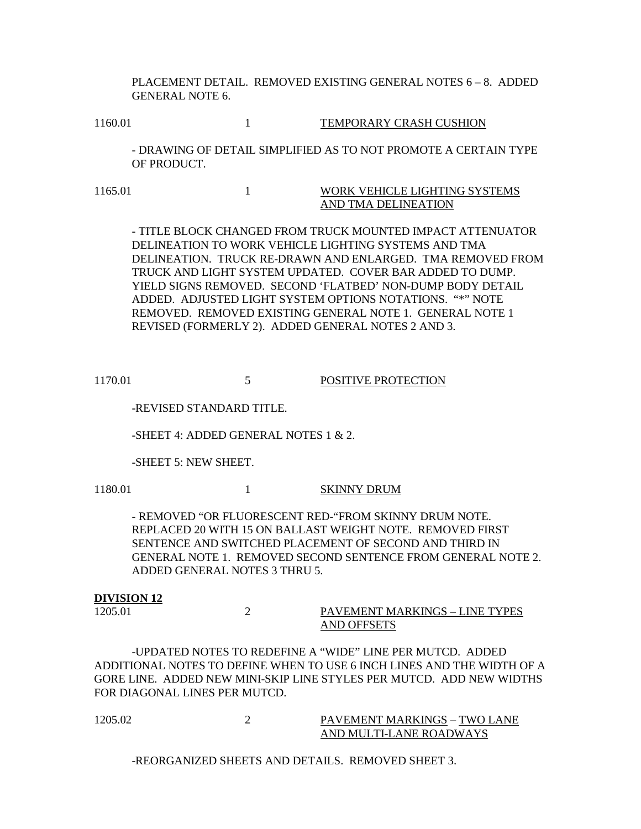PLACEMENT DETAIL. REMOVED EXISTING GENERAL NOTES 6 – 8. ADDED GENERAL NOTE 6.

1160.01 1 160.01 1 TEMPORARY CRASH CUSHION

- DRAWING OF DETAIL SIMPLIFIED AS TO NOT PROMOTE A CERTAIN TYPE OF PRODUCT.

1165.01 1165.01 1 WORK VEHICLE LIGHTING SYSTEMS AND TMA DELINEATION

- TITLE BLOCK CHANGED FROM TRUCK MOUNTED IMPACT ATTENUATOR DELINEATION TO WORK VEHICLE LIGHTING SYSTEMS AND TMA DELINEATION. TRUCK RE-DRAWN AND ENLARGED. TMA REMOVED FROM TRUCK AND LIGHT SYSTEM UPDATED. COVER BAR ADDED TO DUMP. YIELD SIGNS REMOVED. SECOND 'FLATBED' NON-DUMP BODY DETAIL ADDED. ADJUSTED LIGHT SYSTEM OPTIONS NOTATIONS. "\*" NOTE REMOVED. REMOVED EXISTING GENERAL NOTE 1. GENERAL NOTE 1 REVISED (FORMERLY 2). ADDED GENERAL NOTES 2 AND 3.

1170.01 5 POSITIVE PROTECTION

-REVISED STANDARD TITLE.

-SHEET 4: ADDED GENERAL NOTES 1 & 2.

-SHEET 5: NEW SHEET.

1180.01 1 SKINNY DRUM

- REMOVED "OR FLUORESCENT RED-"FROM SKINNY DRUM NOTE. REPLACED 20 WITH 15 ON BALLAST WEIGHT NOTE. REMOVED FIRST SENTENCE AND SWITCHED PLACEMENT OF SECOND AND THIRD IN GENERAL NOTE 1. REMOVED SECOND SENTENCE FROM GENERAL NOTE 2. ADDED GENERAL NOTES 3 THRU 5.

#### **DIVISION 12**

1205.01 2 PAVEMENT MARKINGS – LINE TYPES AND OFFSETS

-UPDATED NOTES TO REDEFINE A "WIDE" LINE PER MUTCD. ADDED ADDITIONAL NOTES TO DEFINE WHEN TO USE 6 INCH LINES AND THE WIDTH OF A GORE LINE. ADDED NEW MINI-SKIP LINE STYLES PER MUTCD. ADD NEW WIDTHS FOR DIAGONAL LINES PER MUTCD.

1205.02 2 PAVEMENT MARKINGS – TWO LANE AND MULTI-LANE ROADWAYS

-REORGANIZED SHEETS AND DETAILS. REMOVED SHEET 3.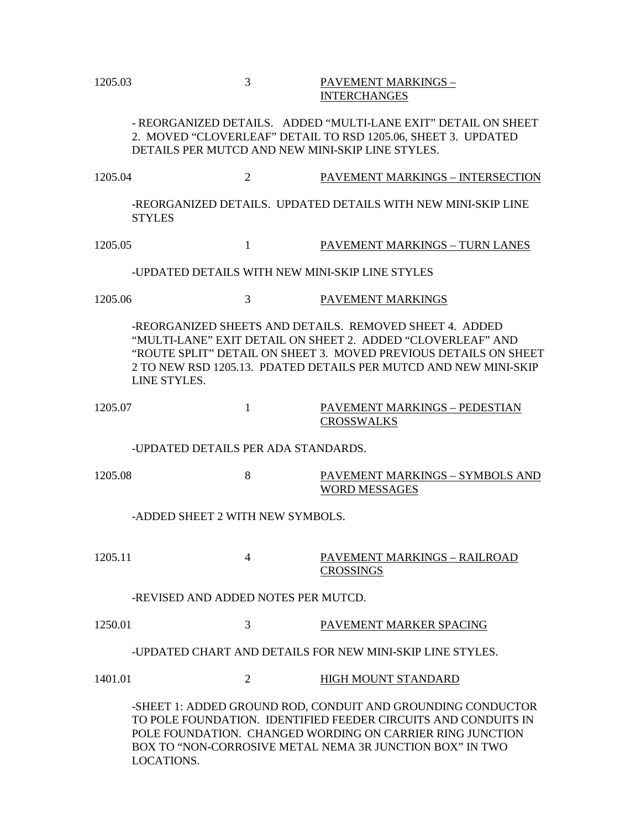# 1205.03 3 PAVEMENT MARKINGS – INTERCHANGES

- REORGANIZED DETAILS. ADDED "MULTI-LANE EXIT" DETAIL ON SHEET 2. MOVED "CLOVERLEAF" DETAIL TO RSD 1205.06, SHEET 3. UPDATED DETAILS PER MUTCD AND NEW MINI-SKIP LINE STYLES.

1205.04 2 PAVEMENT MARKINGS – INTERSECTION -REORGANIZED DETAILS. UPDATED DETAILS WITH NEW MINI-SKIP LINE STYLES

1205.05 1 PAVEMENT MARKINGS – TURN LANES

-UPDATED DETAILS WITH NEW MINI-SKIP LINE STYLES

1205.06 3 PAVEMENT MARKINGS

-REORGANIZED SHEETS AND DETAILS. REMOVED SHEET 4. ADDED "MULTI-LANE" EXIT DETAIL ON SHEET 2. ADDED "CLOVERLEAF" AND "ROUTE SPLIT" DETAIL ON SHEET 3. MOVED PREVIOUS DETAILS ON SHEET 2 TO NEW RSD 1205.13. PDATED DETAILS PER MUTCD AND NEW MINI-SKIP LINE STYLES.

1205.07 1 PAVEMENT MARKINGS – PEDESTIAN **CROSSWALKS** 

-UPDATED DETAILS PER ADA STANDARDS.

1205.08 8 PAVEMENT MARKINGS – SYMBOLS AND WORD MESSAGES

-ADDED SHEET 2 WITH NEW SYMBOLS.

1205.11 4 PAVEMENT MARKINGS – RAILROAD CROSSINGS

-REVISED AND ADDED NOTES PER MUTCD.

1250.01 3 PAVEMENT MARKER SPACING

-UPDATED CHART AND DETAILS FOR NEW MINI-SKIP LINE STYLES.

1401.01 2 HIGH MOUNT STANDARD

-SHEET 1: ADDED GROUND ROD, CONDUIT AND GROUNDING CONDUCTOR TO POLE FOUNDATION. IDENTIFIED FEEDER CIRCUITS AND CONDUITS IN POLE FOUNDATION. CHANGED WORDING ON CARRIER RING JUNCTION BOX TO "NON-CORROSIVE METAL NEMA 3R JUNCTION BOX" IN TWO LOCATIONS.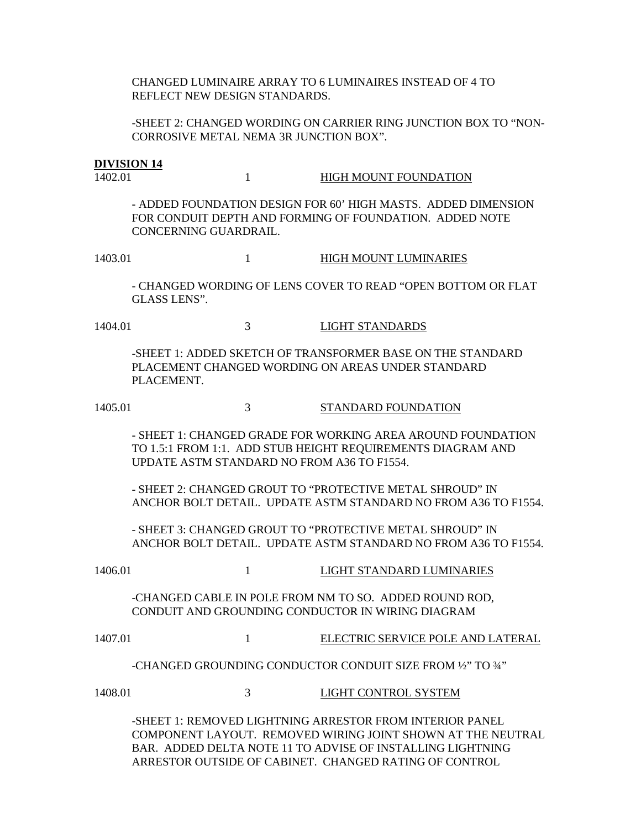CHANGED LUMINAIRE ARRAY TO 6 LUMINAIRES INSTEAD OF 4 TO REFLECT NEW DESIGN STANDARDS.

-SHEET 2: CHANGED WORDING ON CARRIER RING JUNCTION BOX TO "NON-CORROSIVE METAL NEMA 3R JUNCTION BOX".

#### **DIVISION 14**

1402.01 1 HIGH MOUNT FOUNDATION

- ADDED FOUNDATION DESIGN FOR 60' HIGH MASTS. ADDED DIMENSION FOR CONDUIT DEPTH AND FORMING OF FOUNDATION. ADDED NOTE CONCERNING GUARDRAIL.

1403.01 1 HIGH MOUNT LUMINARIES

- CHANGED WORDING OF LENS COVER TO READ "OPEN BOTTOM OR FLAT GLASS LENS".

1404.01 3 LIGHT STANDARDS

-SHEET 1: ADDED SKETCH OF TRANSFORMER BASE ON THE STANDARD PLACEMENT CHANGED WORDING ON AREAS UNDER STANDARD PLACEMENT.

1405.01 3 STANDARD FOUNDATION

- SHEET 1: CHANGED GRADE FOR WORKING AREA AROUND FOUNDATION TO 1.5:1 FROM 1:1. ADD STUB HEIGHT REQUIREMENTS DIAGRAM AND UPDATE ASTM STANDARD NO FROM A36 TO F1554.

- SHEET 2: CHANGED GROUT TO "PROTECTIVE METAL SHROUD" IN ANCHOR BOLT DETAIL. UPDATE ASTM STANDARD NO FROM A36 TO F1554.

- SHEET 3: CHANGED GROUT TO "PROTECTIVE METAL SHROUD" IN ANCHOR BOLT DETAIL. UPDATE ASTM STANDARD NO FROM A36 TO F1554.

1406.01 1 LIGHT STANDARD LUMINARIES

-CHANGED CABLE IN POLE FROM NM TO SO. ADDED ROUND ROD, CONDUIT AND GROUNDING CONDUCTOR IN WIRING DIAGRAM

1407.01 1 ELECTRIC SERVICE POLE AND LATERAL

-CHANGED GROUNDING CONDUCTOR CONDUIT SIZE FROM ½" TO ¾"

1408.01 3 LIGHT CONTROL SYSTEM

-SHEET 1: REMOVED LIGHTNING ARRESTOR FROM INTERIOR PANEL COMPONENT LAYOUT. REMOVED WIRING JOINT SHOWN AT THE NEUTRAL BAR. ADDED DELTA NOTE 11 TO ADVISE OF INSTALLING LIGHTNING ARRESTOR OUTSIDE OF CABINET. CHANGED RATING OF CONTROL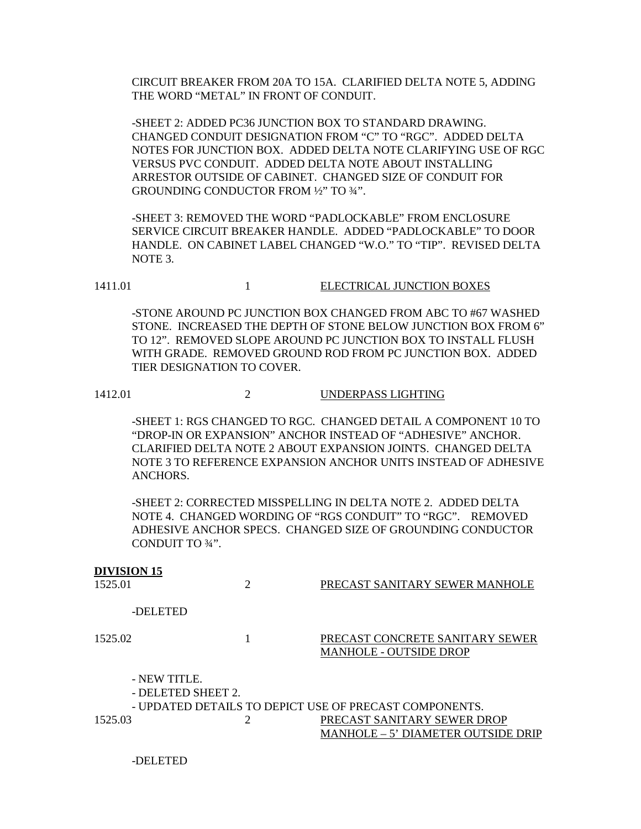CIRCUIT BREAKER FROM 20A TO 15A. CLARIFIED DELTA NOTE 5, ADDING THE WORD "METAL" IN FRONT OF CONDUIT.

-SHEET 2: ADDED PC36 JUNCTION BOX TO STANDARD DRAWING. CHANGED CONDUIT DESIGNATION FROM "C" TO "RGC". ADDED DELTA NOTES FOR JUNCTION BOX. ADDED DELTA NOTE CLARIFYING USE OF RGC VERSUS PVC CONDUIT. ADDED DELTA NOTE ABOUT INSTALLING ARRESTOR OUTSIDE OF CABINET. CHANGED SIZE OF CONDUIT FOR GROUNDING CONDUCTOR FROM ½" TO ¾".

-SHEET 3: REMOVED THE WORD "PADLOCKABLE" FROM ENCLOSURE SERVICE CIRCUIT BREAKER HANDLE. ADDED "PADLOCKABLE" TO DOOR HANDLE. ON CABINET LABEL CHANGED "W.O." TO "TIP". REVISED DELTA NOTE 3.

1411.01 1411.01 1 ELECTRICAL JUNCTION BOXES

-STONE AROUND PC JUNCTION BOX CHANGED FROM ABC TO #67 WASHED STONE. INCREASED THE DEPTH OF STONE BELOW JUNCTION BOX FROM 6" TO 12". REMOVED SLOPE AROUND PC JUNCTION BOX TO INSTALL FLUSH WITH GRADE. REMOVED GROUND ROD FROM PC JUNCTION BOX. ADDED TIER DESIGNATION TO COVER.

1412.01 2 UNDERPASS LIGHTING

-SHEET 1: RGS CHANGED TO RGC. CHANGED DETAIL A COMPONENT 10 TO "DROP-IN OR EXPANSION" ANCHOR INSTEAD OF "ADHESIVE" ANCHOR. CLARIFIED DELTA NOTE 2 ABOUT EXPANSION JOINTS. CHANGED DELTA NOTE 3 TO REFERENCE EXPANSION ANCHOR UNITS INSTEAD OF ADHESIVE ANCHORS.

-SHEET 2: CORRECTED MISSPELLING IN DELTA NOTE 2. ADDED DELTA NOTE 4. CHANGED WORDING OF "RGS CONDUIT" TO "RGC". REMOVED ADHESIVE ANCHOR SPECS. CHANGED SIZE OF GROUNDING CONDUCTOR CONDUIT TO ¾".

| <b>DIVISION 15</b><br>1525.01 |                                    | PRECAST SANITARY SEWER MANHOLE                                    |
|-------------------------------|------------------------------------|-------------------------------------------------------------------|
|                               | -DELETED                           |                                                                   |
| 1525.02                       |                                    | PRECAST CONCRETE SANITARY SEWER<br><b>MANHOLE - OUTSIDE DROP</b>  |
|                               | - NEW TITLE.<br>- DELETED SHEET 2. | - UPDATED DETAILS TO DEPICT USE OF PRECAST COMPONENTS.            |
| 1525.03                       |                                    | PRECAST SANITARY SEWER DROP<br>MANHOLE – 5' DIAMETER OUTSIDE DRIP |

-DELETED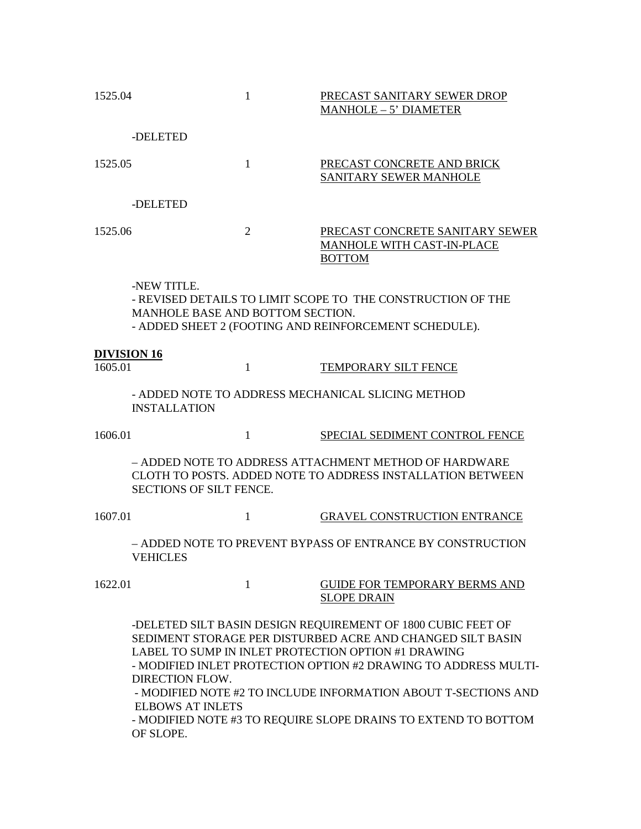| 1525.04                                                                                                                                                                                                                                                                                                                                                                                                                                                    |                                                 | $\mathbf{1}$   | PRECAST SANITARY SEWER DROP<br>MANHOLE - 5' DIAMETER                                                                 |
|------------------------------------------------------------------------------------------------------------------------------------------------------------------------------------------------------------------------------------------------------------------------------------------------------------------------------------------------------------------------------------------------------------------------------------------------------------|-------------------------------------------------|----------------|----------------------------------------------------------------------------------------------------------------------|
|                                                                                                                                                                                                                                                                                                                                                                                                                                                            | -DELETED                                        |                |                                                                                                                      |
| 1525.05                                                                                                                                                                                                                                                                                                                                                                                                                                                    |                                                 | $\mathbf{1}$   | PRECAST CONCRETE AND BRICK<br>SANITARY SEWER MANHOLE                                                                 |
|                                                                                                                                                                                                                                                                                                                                                                                                                                                            | -DELETED                                        |                |                                                                                                                      |
| 1525.06                                                                                                                                                                                                                                                                                                                                                                                                                                                    |                                                 | $\overline{2}$ | PRECAST CONCRETE SANITARY SEWER<br>MANHOLE WITH CAST-IN-PLACE<br><b>BOTTOM</b>                                       |
|                                                                                                                                                                                                                                                                                                                                                                                                                                                            | -NEW TITLE.<br>MANHOLE BASE AND BOTTOM SECTION. |                | - REVISED DETAILS TO LIMIT SCOPE TO THE CONSTRUCTION OF THE<br>- ADDED SHEET 2 (FOOTING AND REINFORCEMENT SCHEDULE). |
| <b>DIVISION 16</b>                                                                                                                                                                                                                                                                                                                                                                                                                                         |                                                 |                |                                                                                                                      |
| 1605.01                                                                                                                                                                                                                                                                                                                                                                                                                                                    |                                                 | $\mathbf{1}$   | <b>TEMPORARY SILT FENCE</b>                                                                                          |
|                                                                                                                                                                                                                                                                                                                                                                                                                                                            | <b>INSTALLATION</b>                             |                | - ADDED NOTE TO ADDRESS MECHANICAL SLICING METHOD                                                                    |
| 1606.01                                                                                                                                                                                                                                                                                                                                                                                                                                                    |                                                 | 1              | SPECIAL SEDIMENT CONTROL FENCE                                                                                       |
|                                                                                                                                                                                                                                                                                                                                                                                                                                                            | SECTIONS OF SILT FENCE.                         |                | - ADDED NOTE TO ADDRESS ATTACHMENT METHOD OF HARDWARE<br>CLOTH TO POSTS. ADDED NOTE TO ADDRESS INSTALLATION BETWEEN  |
| 1607.01                                                                                                                                                                                                                                                                                                                                                                                                                                                    |                                                 | 1              | <b>GRAVEL CONSTRUCTION ENTRANCE</b>                                                                                  |
|                                                                                                                                                                                                                                                                                                                                                                                                                                                            | <b>VEHICLES</b>                                 |                | – ADDED NOTE TO PREVENT BYPASS OF ENTRANCE BY CONSTRUCTION                                                           |
| 1622.01                                                                                                                                                                                                                                                                                                                                                                                                                                                    |                                                 | $\mathbf{1}$   | <b>GUIDE FOR TEMPORARY BERMS AND</b><br><b>SLOPE DRAIN</b>                                                           |
| -DELETED SILT BASIN DESIGN REQUIREMENT OF 1800 CUBIC FEET OF<br>SEDIMENT STORAGE PER DISTURBED ACRE AND CHANGED SILT BASIN<br>LABEL TO SUMP IN INLET PROTECTION OPTION #1 DRAWING<br>- MODIFIED INLET PROTECTION OPTION #2 DRAWING TO ADDRESS MULTI-<br><b>DIRECTION FLOW.</b><br>- MODIFIED NOTE #2 TO INCLUDE INFORMATION ABOUT T-SECTIONS AND<br><b>ELBOWS AT INLETS</b><br>- MODIFIED NOTE #3 TO REQUIRE SLOPE DRAINS TO EXTEND TO BOTTOM<br>OF SLOPE. |                                                 |                |                                                                                                                      |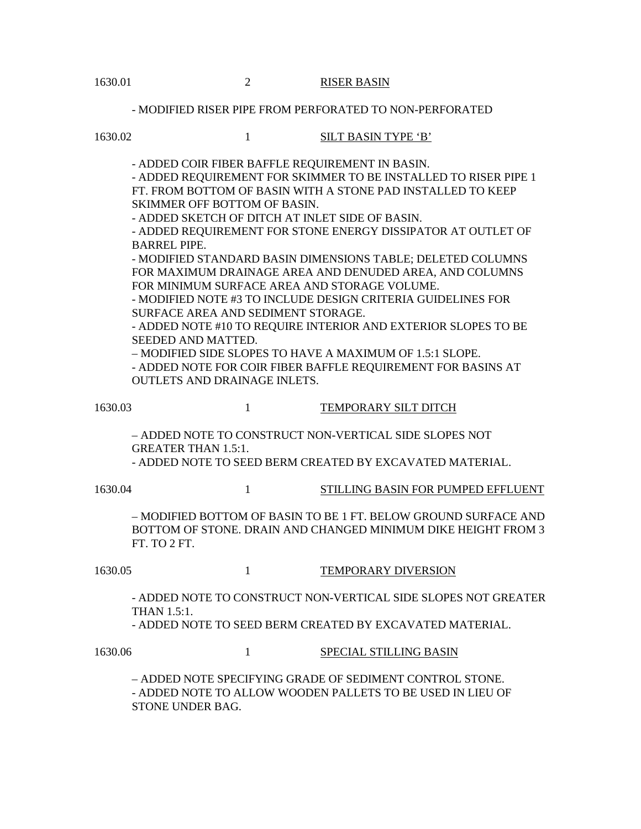- MODIFIED RISER PIPE FROM PERFORATED TO NON-PERFORATED

1630.02 1 SILT BASIN TYPE 'B'

- ADDED COIR FIBER BAFFLE REQUIREMENT IN BASIN.

- ADDED REQUIREMENT FOR SKIMMER TO BE INSTALLED TO RISER PIPE 1 FT. FROM BOTTOM OF BASIN WITH A STONE PAD INSTALLED TO KEEP SKIMMER OFF BOTTOM OF BASIN.

- ADDED SKETCH OF DITCH AT INLET SIDE OF BASIN.

- ADDED REQUIREMENT FOR STONE ENERGY DISSIPATOR AT OUTLET OF BARREL PIPE.

- MODIFIED STANDARD BASIN DIMENSIONS TABLE; DELETED COLUMNS FOR MAXIMUM DRAINAGE AREA AND DENUDED AREA, AND COLUMNS FOR MINIMUM SURFACE AREA AND STORAGE VOLUME.

- MODIFIED NOTE #3 TO INCLUDE DESIGN CRITERIA GUIDELINES FOR SURFACE AREA AND SEDIMENT STORAGE.

- ADDED NOTE #10 TO REQUIRE INTERIOR AND EXTERIOR SLOPES TO BE SEEDED AND MATTED.

– MODIFIED SIDE SLOPES TO HAVE A MAXIMUM OF 1.5:1 SLOPE.

- ADDED NOTE FOR COIR FIBER BAFFLE REQUIREMENT FOR BASINS AT OUTLETS AND DRAINAGE INLETS.

#### 1630.03 1 TEMPORARY SILT DITCH

– ADDED NOTE TO CONSTRUCT NON-VERTICAL SIDE SLOPES NOT GREATER THAN 1.5:1.

- ADDED NOTE TO SEED BERM CREATED BY EXCAVATED MATERIAL.

1630.04 1 STILLING BASIN FOR PUMPED EFFLUENT

– MODIFIED BOTTOM OF BASIN TO BE 1 FT. BELOW GROUND SURFACE AND BOTTOM OF STONE. DRAIN AND CHANGED MINIMUM DIKE HEIGHT FROM 3 FT. TO 2 FT.

1630.05 1 TEMPORARY DIVERSION

- ADDED NOTE TO CONSTRUCT NON-VERTICAL SIDE SLOPES NOT GREATER THAN 1.5:1.

- ADDED NOTE TO SEED BERM CREATED BY EXCAVATED MATERIAL.

1630.06 1 SPECIAL STILLING BASIN

– ADDED NOTE SPECIFYING GRADE OF SEDIMENT CONTROL STONE. - ADDED NOTE TO ALLOW WOODEN PALLETS TO BE USED IN LIEU OF STONE UNDER BAG.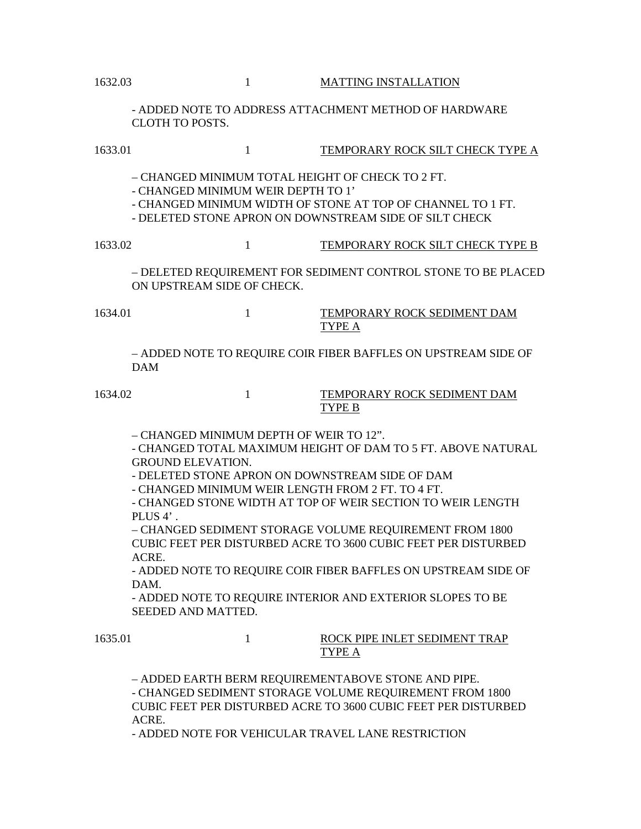- ADDED NOTE TO ADDRESS ATTACHMENT METHOD OF HARDWARE CLOTH TO POSTS.

| 1633.01 | $\mathbf{1}$                                                                                                                                                                                                                   | TEMPORARY ROCK SILT CHECK TYPE A                                                                                                                                                                                                                                                                                                                                                                |
|---------|--------------------------------------------------------------------------------------------------------------------------------------------------------------------------------------------------------------------------------|-------------------------------------------------------------------------------------------------------------------------------------------------------------------------------------------------------------------------------------------------------------------------------------------------------------------------------------------------------------------------------------------------|
|         | - CHANGED MINIMUM TOTAL HEIGHT OF CHECK TO 2 FT.<br>- CHANGED MINIMUM WEIR DEPTH TO 1'<br>- DELETED STONE APRON ON DOWNSTREAM SIDE OF SILT CHECK                                                                               | - CHANGED MINIMUM WIDTH OF STONE AT TOP OF CHANNEL TO 1 FT.                                                                                                                                                                                                                                                                                                                                     |
| 1633.02 | $\mathbf{1}$                                                                                                                                                                                                                   | TEMPORARY ROCK SILT CHECK TYPE B                                                                                                                                                                                                                                                                                                                                                                |
|         | ON UPSTREAM SIDE OF CHECK.                                                                                                                                                                                                     | - DELETED REQUIREMENT FOR SEDIMENT CONTROL STONE TO BE PLACED                                                                                                                                                                                                                                                                                                                                   |
| 1634.01 | 1                                                                                                                                                                                                                              | <b>TEMPORARY ROCK SEDIMENT DAM</b><br>TYPE A                                                                                                                                                                                                                                                                                                                                                    |
|         | <b>DAM</b>                                                                                                                                                                                                                     | - ADDED NOTE TO REQUIRE COIR FIBER BAFFLES ON UPSTREAM SIDE OF                                                                                                                                                                                                                                                                                                                                  |
| 1634.02 | $\mathbf{1}$                                                                                                                                                                                                                   | TEMPORARY ROCK SEDIMENT DAM<br>TYPE B                                                                                                                                                                                                                                                                                                                                                           |
|         | - CHANGED MINIMUM DEPTH OF WEIR TO 12".<br><b>GROUND ELEVATION.</b><br>- DELETED STONE APRON ON DOWNSTREAM SIDE OF DAM<br>- CHANGED MINIMUM WEIR LENGTH FROM 2 FT. TO 4 FT.<br>PLUS 4'.<br>ACRE.<br>DAM.<br>SEEDED AND MATTED. | - CHANGED TOTAL MAXIMUM HEIGHT OF DAM TO 5 FT. ABOVE NATURAL<br>- CHANGED STONE WIDTH AT TOP OF WEIR SECTION TO WEIR LENGTH<br>- CHANGED SEDIMENT STORAGE VOLUME REQUIREMENT FROM 1800<br><b>CUBIC FEET PER DISTURBED ACRE TO 3600 CUBIC FEET PER DISTURBED</b><br>- ADDED NOTE TO REQUIRE COIR FIBER BAFFLES ON UPSTREAM SIDE OF<br>- ADDED NOTE TO REQUIRE INTERIOR AND EXTERIOR SLOPES TO BE |
| 1635.01 | 1                                                                                                                                                                                                                              | ROCK PIPE INLET SEDIMENT TRAP<br>TYPE A                                                                                                                                                                                                                                                                                                                                                         |
|         | - ADDED EARTH BERM REQUIREMENTABOVE STONE AND PIPE.                                                                                                                                                                            | - CHANGED SEDIMENT STORAGE VOLUME REQUIREMENT FROM 1800                                                                                                                                                                                                                                                                                                                                         |

CUBIC FEET PER DISTURBED ACRE TO 3600 CUBIC FEET PER DISTURBED ACRE.

- ADDED NOTE FOR VEHICULAR TRAVEL LANE RESTRICTION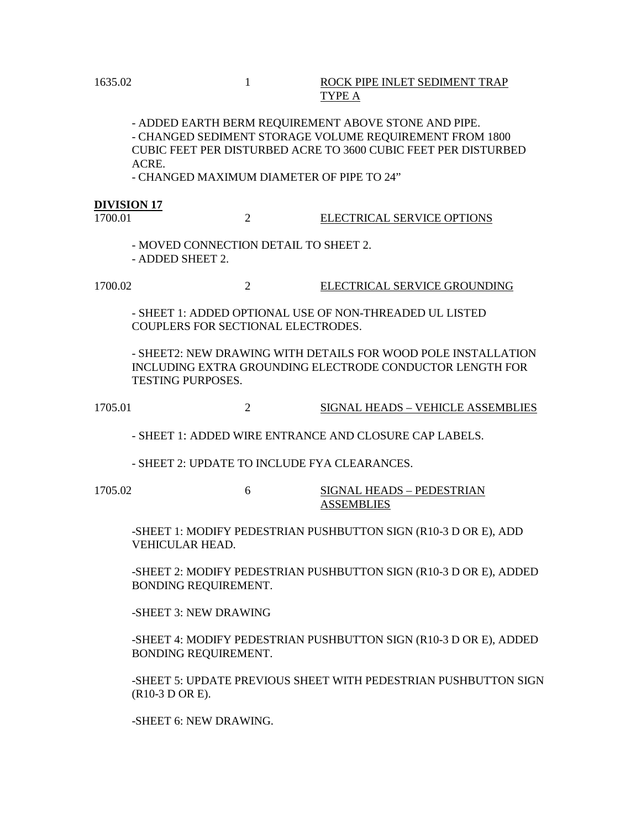#### 1635.02 1 ROCK PIPE INLET SEDIMENT TRAP TYPE A

- ADDED EARTH BERM REQUIREMENT ABOVE STONE AND PIPE. - CHANGED SEDIMENT STORAGE VOLUME REQUIREMENT FROM 1800 CUBIC FEET PER DISTURBED ACRE TO 3600 CUBIC FEET PER DISTURBED ACRE.

- CHANGED MAXIMUM DIAMETER OF PIPE TO 24"

#### **DIVISION 17**

# 1700.01 2 ELECTRICAL SERVICE OPTIONS

- MOVED CONNECTION DETAIL TO SHEET 2. - ADDED SHEET 2.

1700.02 2 ELECTRICAL SERVICE GROUNDING

- SHEET 1: ADDED OPTIONAL USE OF NON-THREADED UL LISTED COUPLERS FOR SECTIONAL ELECTRODES.

- SHEET2: NEW DRAWING WITH DETAILS FOR WOOD POLE INSTALLATION INCLUDING EXTRA GROUNDING ELECTRODE CONDUCTOR LENGTH FOR TESTING PURPOSES.

1705.01 2 SIGNAL HEADS – VEHICLE ASSEMBLIES

- SHEET 1: ADDED WIRE ENTRANCE AND CLOSURE CAP LABELS.

- SHEET 2: UPDATE TO INCLUDE FYA CLEARANCES.

1705.02 6 SIGNAL HEADS – PEDESTRIAN ASSEMBLIES

-SHEET 1: MODIFY PEDESTRIAN PUSHBUTTON SIGN (R10-3 D OR E), ADD VEHICULAR HEAD.

-SHEET 2: MODIFY PEDESTRIAN PUSHBUTTON SIGN (R10-3 D OR E), ADDED BONDING REQUIREMENT.

-SHEET 3: NEW DRAWING

-SHEET 4: MODIFY PEDESTRIAN PUSHBUTTON SIGN (R10-3 D OR E), ADDED BONDING REQUIREMENT.

-SHEET 5: UPDATE PREVIOUS SHEET WITH PEDESTRIAN PUSHBUTTON SIGN (R10-3 D OR E).

-SHEET 6: NEW DRAWING.